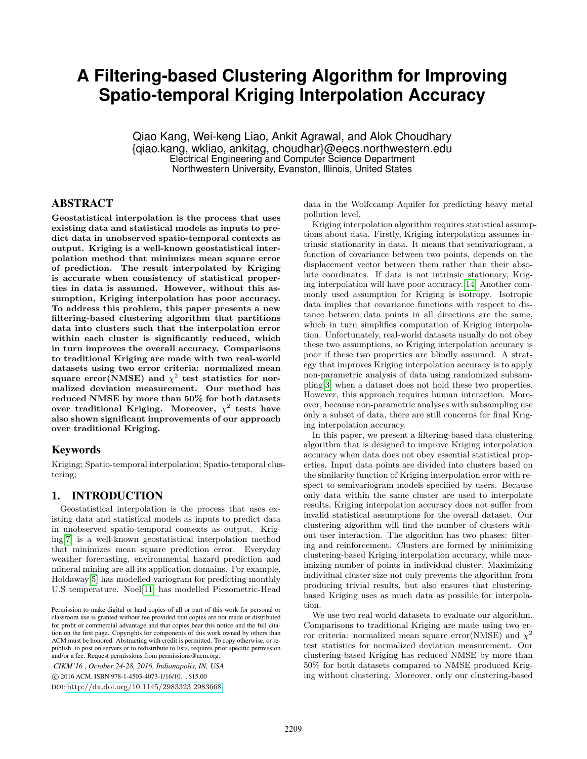# **A Filtering-based Clustering Algorithm for Improving Spatio-temporal Kriging Interpolation Accuracy**

Qiao Kang, Wei-keng Liao, Ankit Agrawal, and Alok Choudhary {qiao.kang, wkliao, ankitag, choudhar}@eecs.northwestern.edu Electrical Engineering and Computer Science Department Northwestern University, Evanston, Illinois, United States

# ABSTRACT

**Geostatistical interpolation is the process that uses existing data and statistical models as inputs to predict data in unobserved spatio-temporal contexts as output. Kriging is a well-known geostatistical interpolation method that minimizes mean square error of prediction. The result interpolated by Kriging is accurate when consistency of statistical properties in data is assumed. However, without this assumption, Kriging interpolation has poor accuracy. To address this problem, this paper presents a new filtering-based clustering algorithm that partitions data into clusters such that the interpolation error within each cluster is significantly reduced, which in turn improves the overall accuracy. Comparisons to traditional Kriging are made with two real-world datasets using two error criteria: normalized mean**  $square error(NMSE)$  and  $\chi^2$  test statistics for nor**malized deviation measurement. Our method has reduced NMSE by more than 50% for both datasets over traditional Kriging. Moreover,** *χ* 2 **tests have also shown significant improvements of our approach over traditional Kriging.**

# Keywords

Kriging; Spatio-temporal interpolation; Spatio-temporal clustering;

# 1. INTRODUCTION

Geostatistical interpolation is the process that uses existing data and statistical models as inputs to predict data in unobserved spatio-temporal contexts as output. Kriging[\[7\]](#page-5-0) is a well-known geostatistical interpolation method that minimizes mean square prediction error. Everyday weather forecasting, environmental hazard prediction and mineral mining are all its application domains. For example, Holdaway[\[5\]](#page-5-1) has modelled variogram for predicting monthly U.S temperature. Noel[\[11\]](#page-5-2) has modelled Piezometric-Head

*CIKM'16 , October 24-28, 2016, Indianapolis, IN, USA*

c 2016 ACM. ISBN 978-1-4503-4073-1/16/10. . . \$15.00

DOI: <http://dx.doi.org/10.1145/2983323.2983668>

data in the Wolfccamp Aquifer for predicting heavy metal pollution level.

Kriging interpolation algorithm requires statistical assumptions about data. Firstly, Kriging interpolation assumes intrinsic stationarity in data. It means that semivariogram, a function of covariance between two points, depends on the displacement vector between them rather than their absolute coordinates. If data is not intrinsic stationary, Kriging interpolation will have poor accuracy.[\[14\]](#page-5-3) Another commonly used assumption for Kriging is isotropy. Isotropic data implies that covariance functions with respect to distance between data points in all directions are the same, which in turn simplifies computation of Kriging interpolation. Unfortunately, real-world datasets usually do not obey these two assumptions, so Kriging interpolation accuracy is poor if these two properties are blindly assumed. A strategy that improves Kriging interpolation accuracy is to apply non-parametric analysis of data using randomized subsampling[\[3\]](#page-5-4) when a dataset does not hold these two properties. However, this approach requires human interaction. Moreover, because non-parametric analyses with subsampling use only a subset of data, there are still concerns for final Kriging interpolation accuracy.

In this paper, we present a filtering-based data clustering algorithm that is designed to improve Kriging interpolation accuracy when data does not obey essential statistical properties. Input data points are divided into clusters based on the similarity function of Kriging interpolation error with respect to semivariogram models specified by users. Because only data within the same cluster are used to interpolate results, Kriging interpolation accuracy does not suffer from invalid statistical assumptions for the overall dataset. Our clustering algorithm will find the number of clusters without user interaction. The algorithm has two phases: filtering and reinforcement. Clusters are formed by minimizing clustering-based Kriging interpolation accuracy, while maximizing number of points in individual cluster. Maximizing individual cluster size not only prevents the algorithm from producing trivial results, but also ensures that clusteringbased Kriging uses as much data as possible for interpolation.

We use two real world datasets to evaluate our algorithm. Comparisons to traditional Kriging are made using two error criteria: normalized mean square error(NMSE) and *χ* 2 test statistics for normalized deviation measurement. Our clustering-based Kriging has reduced NMSE by more than 50% for both datasets compared to NMSE produced Kriging without clustering. Moreover, only our clustering-based

Permission to make digital or hard copies of all or part of this work for personal or classroom use is granted without fee provided that copies are not made or distributed for profit or commercial advantage and that copies bear this notice and the full citation on the first page. Copyrights for components of this work owned by others than ACM must be honored. Abstracting with credit is permitted. To copy otherwise, or republish, to post on servers or to redistribute to lists, requires prior specific permission and/or a fee. Request permissions from permissions@acm.org.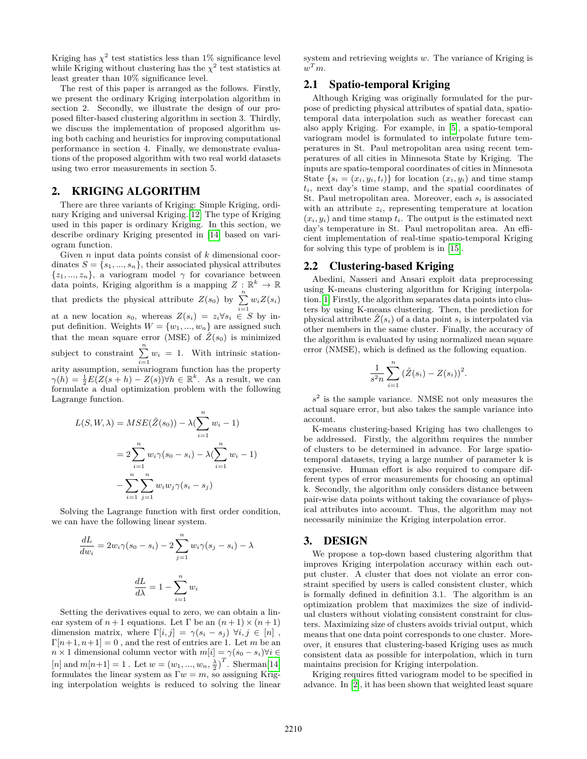Kriging has  $\chi^2$  test statistics less than 1% significance level while Kriging without clustering has the  $\chi^2$  test statistics at least greater than 10% significance level.

The rest of this paper is arranged as the follows. Firstly, we present the ordinary Kriging interpolation algorithm in section 2. Secondly, we illustrate the design of our proposed filter-based clustering algorithm in section 3. Thirdly, we discuss the implementation of proposed algorithm using both caching and heuristics for improving computational performance in section 4. Finally, we demonstrate evaluations of the proposed algorithm with two real world datasets using two error measurements in section 5.

# 2. KRIGING ALGORITHM

There are three variants of Kriging: Simple Kriging, ordinary Kriging and universal Kriging.[\[12\]](#page-5-5) The type of Kriging used in this paper is ordinary Kriging. In this section, we describe ordinary Kriging presented in [\[14\]](#page-5-3) based on variogram function.

Given *n* input data points consist of *k* dimensional coordinates  $S = \{s_1, ..., s_n\}$ , their associated physical attributes  $\{z_1, ..., z_n\}$ , a variogram model  $\gamma$  for covariance between data points, Kriging algorithm is a mapping  $Z : \mathbb{R}^k \to \mathbb{R}$ that predicts the physical attribute  $Z(s_0)$  by  $\sum_{i=1}^{n} w_i Z(s_i)$ at a new location  $s_0$ , whereas  $Z(s_i) = z_i \forall s_i \in S$  by input definition. Weights  $W = \{w_1, ..., w_n\}$  are assigned such that the mean square error (MSE) of  $\hat{Z}(s_0)$  is minimized subject to constraint  $\sum_{i=1}^{n} w_i = 1$ . With intrinsic stationarity assumption, semivariogram function has the property  $\gamma(h) = \frac{1}{2}E(Z(s+h) - Z(s))$  $\forall h \in \mathbb{R}^k$ . As a result, we can formulate a dual optimization problem with the following Lagrange function.

$$
L(S, W, \lambda) = MSE(\hat{Z}(s_0)) - \lambda (\sum_{i=1}^{n} w_i - 1)
$$
  
= 
$$
2 \sum_{i=1}^{n} w_i \gamma (s_0 - s_i) - \lambda (\sum_{i=1}^{n} w_i - 1)
$$
  
- 
$$
\sum_{i=1}^{n} \sum_{j=1}^{n} w_i w_j \gamma (s_i - s_j)
$$

Solving the Lagrange function with first order condition, we can have the following linear system.

$$
\frac{dL}{dw_i} = 2w_i\gamma(s_0 - s_i) - 2\sum_{j=1}^n w_i\gamma(s_j - s_i) - \lambda
$$

$$
\frac{dL}{d\lambda} = 1 - \sum_{i=1}^n w_i
$$

Setting the derivatives equal to zero, we can obtain a linear system of  $n+1$  equations. Let  $\Gamma$  be an  $(n+1) \times (n+1)$ dimension matrix, where  $\Gamma[i, j] = \gamma(s_i - s_j) \ \forall i, j \in [n]$ ,  $\Gamma[n+1, n+1] = 0$ , and the rest of entries are 1. Let *m* be an  $n \times 1$  dimensional column vector with  $m[i] = \gamma(s_0 - s_i) \forall i \in$  $[n]$  and  $m[n+1] = 1$ . Let  $w = (w_1, ..., w_n, \frac{\lambda}{2})^T$ . Sherman<sup>[\[14\]](#page-5-3)</sup> formulates the linear system as  $\Gamma w = m$ , so assigning Kriging interpolation weights is reduced to solving the linear system and retrieving weights *w*. The variance of Kriging is  $w^T m$ .

# 2.1 Spatio-temporal Kriging

Although Kriging was originally formulated for the purpose of predicting physical attributes of spatial data, spatiotemporal data interpolation such as weather forecast can also apply Kriging. For example, in [\[5\]](#page-5-1), a spatio-temporal variogram model is formulated to interpolate future temperatures in St. Paul metropolitan area using recent temperatures of all cities in Minnesota State by Kriging. The inputs are spatio-temporal coordinates of cities in Minnesota State  $\{s_i = (x_i, y_i, t_i)\}\$ for location  $(x_i, y_i)$  and time stamp *ti*, next day's time stamp, and the spatial coordinates of St. Paul metropolitan area. Moreover, each *s<sup>i</sup>* is associated with an attribute  $z_i$ , representing temperature at location  $(x_i, y_i)$  and time stamp  $t_i$ . The output is the estimated next day's temperature in St. Paul metropolitan area. An efficient implementation of real-time spatio-temporal Kriging for solving this type of problem is in [\[15\]](#page-5-6).

#### 2.2 Clustering-based Kriging

Abedini, Nasseri and Ansari exploit data preprocessing using K-means clustering algorithm for Kriging interpolation.[\[1\]](#page-5-7) Firstly, the algorithm separates data points into clusters by using K-means clustering. Then, the prediction for physical attribute  $\hat{Z}(s_i)$  of a data point  $s_i$  is interpolated via other members in the same cluster. Finally, the accuracy of the algorithm is evaluated by using normalized mean square error (NMSE), which is defined as the following equation.

$$
\frac{1}{s^2 n} \sum_{i=1}^n (\hat{Z}(s_i) - Z(s_i))^2.
$$

 $s<sup>2</sup>$  is the sample variance. NMSE not only measures the actual square error, but also takes the sample variance into account.

K-means clustering-based Kriging has two challenges to be addressed. Firstly, the algorithm requires the number of clusters to be determined in advance. For large spatiotemporal datasets, trying a large number of parameter k is expensive. Human effort is also required to compare different types of error measurements for choosing an optimal k. Secondly, the algorithm only considers distance between pair-wise data points without taking the covariance of physical attributes into account. Thus, the algorithm may not necessarily minimize the Kriging interpolation error.

#### 3. DESIGN

We propose a top-down based clustering algorithm that improves Kriging interpolation accuracy within each output cluster. A cluster that does not violate an error constraint specified by users is called consistent cluster, which is formally defined in definition 3.1. The algorithm is an optimization problem that maximizes the size of individual clusters without violating consistent constraint for clusters. Maximizing size of clusters avoids trivial output, which means that one data point corresponds to one cluster. Moreover, it ensures that clustering-based Kriging uses as much consistent data as possible for interpolation, which in turn maintains precision for Kriging interpolation.

Kriging requires fitted variogram model to be specified in advance. In [\[2\]](#page-5-8), it has been shown that weighted least square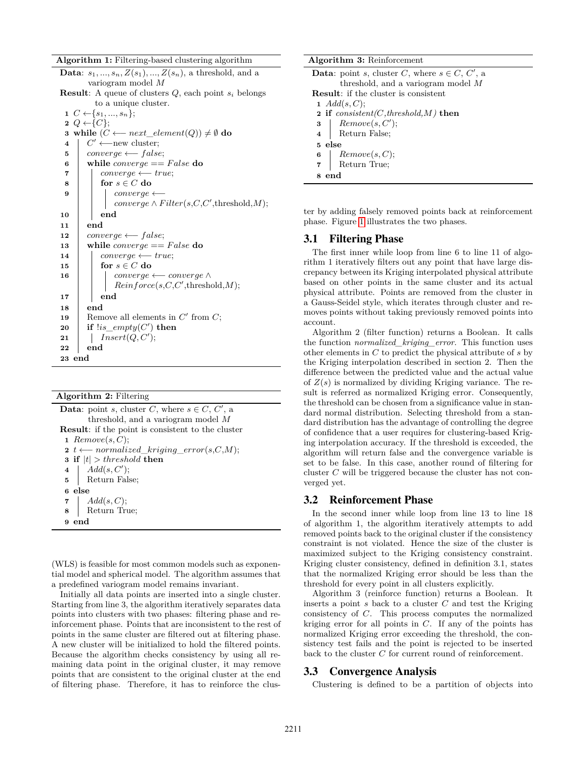**Algorithm 1:** Filtering-based clustering algorithm

|                                                                   | <b>Data:</b> $s_1, , s_n, Z(s_1), , Z(s_n)$ , a threshold, and a |  |  |  |  |  |
|-------------------------------------------------------------------|------------------------------------------------------------------|--|--|--|--|--|
| variogram model M                                                 |                                                                  |  |  |  |  |  |
| <b>Result:</b> A queue of clusters $Q$ , each point $s_i$ belongs |                                                                  |  |  |  |  |  |
| to a unique cluster.                                              |                                                                  |  |  |  |  |  |
| $1 \ C \leftarrow \{s_1, , s_n\};$                                |                                                                  |  |  |  |  |  |
| $2 Q \leftarrow \{C\};$                                           |                                                                  |  |  |  |  |  |
| 3 while $(C \longleftarrow next\_element(Q)) \neq \emptyset$ do   |                                                                  |  |  |  |  |  |
| $\overline{\mathbf{4}}$                                           | $C' \longleftarrow$ new cluster;                                 |  |  |  |  |  |
| 5                                                                 | $converge \longleftarrow false;$                                 |  |  |  |  |  |
| 6                                                                 | while $converge == False$ do                                     |  |  |  |  |  |
| 7                                                                 | $converge \longleftarrow true;$                                  |  |  |  |  |  |
| 8                                                                 | for $s \in C$ do                                                 |  |  |  |  |  |
| 9                                                                 | $converge \longleftarrow$                                        |  |  |  |  |  |
|                                                                   | $converge \wedge Filter(s, C, C', threshold, M);$                |  |  |  |  |  |
| 10                                                                | end                                                              |  |  |  |  |  |
| 11                                                                | end                                                              |  |  |  |  |  |
| 12                                                                | $converge \longleftarrow false;$                                 |  |  |  |  |  |
| 13                                                                | while <i>converge</i> == $False$ do                              |  |  |  |  |  |
| 14                                                                | $converge \longleftarrow true;$                                  |  |  |  |  |  |
| 15                                                                | for $s\in C$ do                                                  |  |  |  |  |  |
| 16                                                                | $\label{eq:converge} converge \longleftarrow converge \, \wedge$ |  |  |  |  |  |
|                                                                   | Reinforce(s, C, C', threshold, M);                               |  |  |  |  |  |
| 17                                                                | end                                                              |  |  |  |  |  |
| 18                                                                | end                                                              |  |  |  |  |  |
| 19                                                                | Remove all elements in $C'$ from $C$ ;                           |  |  |  |  |  |
| 20                                                                | if $lis\_empty(C')$ then                                         |  |  |  |  |  |
| 21                                                                | Insert(Q, C');                                                   |  |  |  |  |  |
| 22                                                                | end                                                              |  |  |  |  |  |
| end<br>23                                                         |                                                                  |  |  |  |  |  |
|                                                                   |                                                                  |  |  |  |  |  |

**Algorithm 2:** Filtering

| <b>Data:</b> point s, cluster C, where $s \in C$ , C', a                              |  |  |  |  |  |
|---------------------------------------------------------------------------------------|--|--|--|--|--|
| threshold, and a variogram model $M$                                                  |  |  |  |  |  |
| <b>Result:</b> if the point is consistent to the cluster                              |  |  |  |  |  |
| 1 Remove $(s, C)$ ;                                                                   |  |  |  |  |  |
| $\mathbf{2} \ t \longleftarrow normalized \ \ kriging \ \ error(s, C, M);$            |  |  |  |  |  |
| <b>3</b> if $ t  > threshold$ then                                                    |  |  |  |  |  |
| 4 $Add(s, C');$<br>5 Return False;                                                    |  |  |  |  |  |
|                                                                                       |  |  |  |  |  |
| 6 else                                                                                |  |  |  |  |  |
|                                                                                       |  |  |  |  |  |
| $\begin{array}{c c} \textbf{7} & Add(s, C); \\ \textbf{8} & Return True; \end{array}$ |  |  |  |  |  |
| end                                                                                   |  |  |  |  |  |

(WLS) is feasible for most common models such as exponential model and spherical model. The algorithm assumes that a predefined variogram model remains invariant.

Initially all data points are inserted into a single cluster. Starting from line 3, the algorithm iteratively separates data points into clusters with two phases: filtering phase and reinforcement phase. Points that are inconsistent to the rest of points in the same cluster are filtered out at filtering phase. A new cluster will be initialized to hold the filtered points. Because the algorithm checks consistency by using all remaining data point in the original cluster, it may remove points that are consistent to the original cluster at the end of filtering phase. Therefore, it has to reinforce the clus-

#### **Algorithm 3:** Reinforcement

**Data**: point *s*, cluster *C*, where  $s \in C$ , *C*<sup> $\prime$ </sup>, a threshold, and a variogram model *M* **Result**: if the cluster is consistent **1** *Add*(*s, C*); **2 if** *consistent(C,threshold,M)* **then**  $\mathbf{3}$  **PREMOVE**( $s, C'$ ); **4** Return False; **5 else 6** *Remove*(*s, C*); **7** Return True; **8 end**

ter by adding falsely removed points back at reinforcement phase. Figure [1](#page-3-0) illustrates the two phases.

# 3.1 Filtering Phase

The first inner while loop from line 6 to line 11 of algorithm 1 iteratively filters out any point that have large discrepancy between its Kriging interpolated physical attribute based on other points in the same cluster and its actual physical attribute. Points are removed from the cluster in a Gauss-Seidel style, which iterates through cluster and removes points without taking previously removed points into account.

Algorithm 2 (filter function) returns a Boolean. It calls the function *normalized\_kriging\_error*. This function uses other elements in *C* to predict the physical attribute of *s* by the Kriging interpolation described in section 2. Then the difference between the predicted value and the actual value of *Z*(*s*) is normalized by dividing Kriging variance. The result is referred as normalized Kriging error. Consequently, the threshold can be chosen from a significance value in standard normal distribution. Selecting threshold from a standard distribution has the advantage of controlling the degree of confidence that a user requires for clustering-based Kriging interpolation accuracy. If the threshold is exceeded, the algorithm will return false and the convergence variable is set to be false. In this case, another round of filtering for cluster *C* will be triggered because the cluster has not converged yet.

# 3.2 Reinforcement Phase

In the second inner while loop from line 13 to line 18 of algorithm 1, the algorithm iteratively attempts to add removed points back to the original cluster if the consistency constraint is not violated. Hence the size of the cluster is maximized subject to the Kriging consistency constraint. Kriging cluster consistency, defined in definition 3.1, states that the normalized Kriging error should be less than the threshold for every point in all clusters explicitly.

Algorithm 3 (reinforce function) returns a Boolean. It inserts a point *s* back to a cluster *C* and test the Kriging consistency of *C*. This process computes the normalized kriging error for all points in *C*. If any of the points has normalized Kriging error exceeding the threshold, the consistency test fails and the point is rejected to be inserted back to the cluster *C* for current round of reinforcement.

#### 3.3 Convergence Analysis

Clustering is defined to be a partition of objects into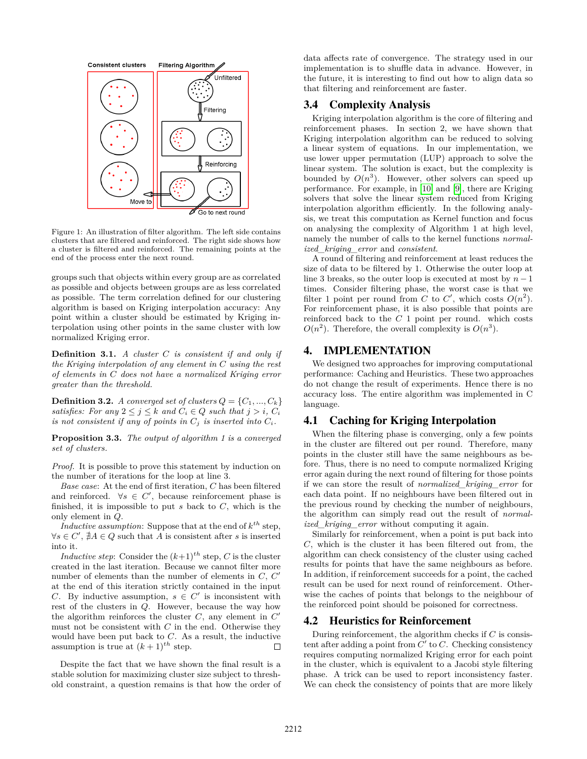<span id="page-3-0"></span>

Figure 1: An illustration of filter algorithm. The left side contains clusters that are filtered and reinforced. The right side shows how a cluster is filtered and reinforced. The remaining points at the end of the process enter the next round.

groups such that objects within every group are as correlated as possible and objects between groups are as less correlated as possible. The term correlation defined for our clustering algorithm is based on Kriging interpolation accuracy: Any point within a cluster should be estimated by Kriging interpolation using other points in the same cluster with low normalized Kriging error.

**Definition 3.1.** *A cluster C is consistent if and only if the Kriging interpolation of any element in C using the rest of elements in C does not have a normalized Kriging error greater than the threshold.*

**Definition 3.2.** *A converged set of clusters*  $Q = \{C_1, ..., C_k\}$ *satisfies:* For any  $2 \leq j \leq k$  and  $C_i \in Q$  such that  $j > i$ ,  $C_i$ *is not consistent if any of points in*  $C_j$  *is inserted into*  $C_i$ *.* 

**Proposition 3.3.** *The output of algorithm 1 is a converged set of clusters.*

*Proof.* It is possible to prove this statement by induction on the number of iterations for the loop at line 3.

*Base case*: At the end of first iteration, *C* has been filtered and reinforced.  $\forall s \in C'$ , because reinforcement phase is finished, it is impossible to put *s* back to *C*, which is the only element in *Q*.

*Inductive assumption*: Suppose that at the end of  $k^{th}$  step,  $\forall s \in C', \nexists A \in Q \text{ such that } \overrightarrow{A} \text{ is consistent after } s \text{ is inserted}$ into it.

*Inductive step*: Consider the  $(k+1)^{th}$  step, *C* is the cluster created in the last iteration. Because we cannot filter more number of elements than the number of elements in  $C, C'$ at the end of this iteration strictly contained in the input *C*. By inductive assumption,  $s \in C'$  is inconsistent with rest of the clusters in *Q*. However, because the way how the algorithm reinforces the cluster  $C$ , any element in  $C'$ must not be consistent with *C* in the end. Otherwise they would have been put back to *C*. As a result, the inductive assumption is true at  $(k+1)$ <sup>th</sup> step.  $\Box$ 

Despite the fact that we have shown the final result is a stable solution for maximizing cluster size subject to threshold constraint, a question remains is that how the order of data affects rate of convergence. The strategy used in our implementation is to shuffle data in advance. However, in the future, it is interesting to find out how to align data so that filtering and reinforcement are faster.

# 3.4 Complexity Analysis

Kriging interpolation algorithm is the core of filtering and reinforcement phases. In section 2, we have shown that Kriging interpolation algorithm can be reduced to solving a linear system of equations. In our implementation, we use lower upper permutation (LUP) approach to solve the linear system. The solution is exact, but the complexity is bounded by  $O(n^3)$ . However, other solvers can speed up performance. For example, in [\[10\]](#page-5-9) and [\[9\]](#page-5-10), there are Kriging solvers that solve the linear system reduced from Kriging interpolation algorithm efficiently. In the following analysis, we treat this computation as Kernel function and focus on analysing the complexity of Algorithm 1 at high level, namely the number of calls to the kernel functions *normalized\_kriging\_error* and *consistent*.

A round of filtering and reinforcement at least reduces the size of data to be filtered by 1. Otherwise the outer loop at line 3 breaks, so the outer loop is executed at most by  $n-1$ times. Consider filtering phase, the worst case is that we filter 1 point per round from *C* to *C'*, which costs  $O(n^2)$ . For reinforcement phase, it is also possible that points are reinforced back to the *C* 1 point per round. which costs  $O(n^2)$ . Therefore, the overall complexity is  $O(n^3)$ .

#### 4. IMPLEMENTATION

We designed two approaches for improving computational performance: Caching and Heuristics. These two approaches do not change the result of experiments. Hence there is no accuracy loss. The entire algorithm was implemented in C language.

# 4.1 Caching for Kriging Interpolation

When the filtering phase is converging, only a few points in the cluster are filtered out per round. Therefore, many points in the cluster still have the same neighbours as before. Thus, there is no need to compute normalized Kriging error again during the next round of filtering for those points if we can store the result of *normalized\_kriging\_error* for each data point. If no neighbours have been filtered out in the previous round by checking the number of neighbours, the algorithm can simply read out the result of *normalized\_kriging\_error* without computing it again.

Similarly for reinforcement, when a point is put back into *C*, which is the cluster it has been filtered out from, the algorithm can check consistency of the cluster using cached results for points that have the same neighbours as before. In addition, if reinforcement succeeds for a point, the cached result can be used for next round of reinforcement. Otherwise the caches of points that belongs to the neighbour of the reinforced point should be poisoned for correctness.

# 4.2 Heuristics for Reinforcement

During reinforcement, the algorithm checks if *C* is consistent after adding a point from  $C'$  to  $C$ . Checking consistency requires computing normalized Kriging error for each point in the cluster, which is equivalent to a Jacobi style filtering phase. A trick can be used to report inconsistency faster. We can check the consistency of points that are more likely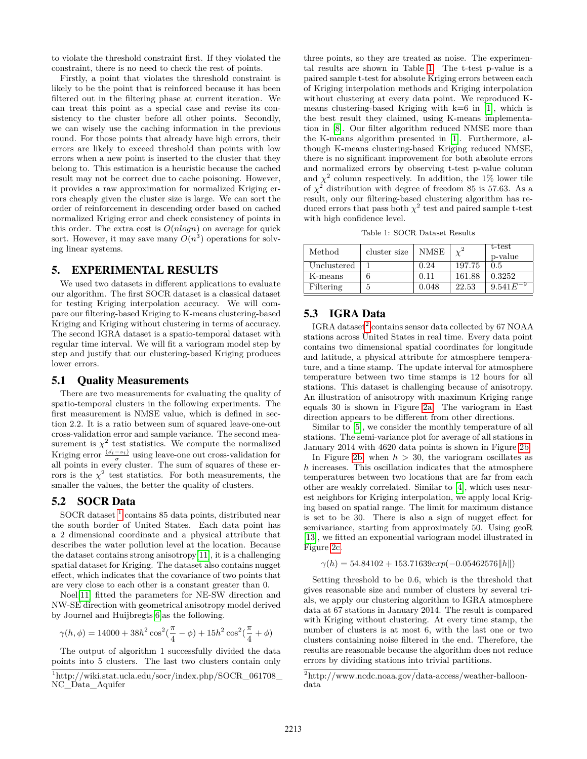to violate the threshold constraint first. If they violated the constraint, there is no need to check the rest of points.

Firstly, a point that violates the threshold constraint is likely to be the point that is reinforced because it has been filtered out in the filtering phase at current iteration. We can treat this point as a special case and revise its consistency to the cluster before all other points. Secondly, we can wisely use the caching information in the previous round. For those points that already have high errors, their errors are likely to exceed threshold than points with low errors when a new point is inserted to the cluster that they belong to. This estimation is a heuristic because the cached result may not be correct due to cache poisoning. However, it provides a raw approximation for normalized Kriging errors cheaply given the cluster size is large. We can sort the order of reinforcement in descending order based on cached normalized Kriging error and check consistency of points in this order. The extra cost is *O*(*nlogn*) on average for quick sort. However, it may save many  $O(n^3)$  operations for solving linear systems.

# 5. EXPERIMENTAL RESULTS

We used two datasets in different applications to evaluate our algorithm. The first SOCR dataset is a classical dataset for testing Kriging interpolation accuracy. We will compare our filtering-based Kriging to K-means clustering-based Kriging and Kriging without clustering in terms of accuracy. The second IGRA dataset is a spatio-temporal dataset with regular time interval. We will fit a variogram model step by step and justify that our clustering-based Kriging produces lower errors.

#### 5.1 Quality Measurements

There are two measurements for evaluating the quality of spatio-temporal clusters in the following experiments. The first measurement is NMSE value, which is defined in section 2.2. It is a ratio between sum of squared leave-one-out cross-validation error and sample variance. The second measurement is  $\chi^2$  test statistics. We compute the normalized Kriging error  $\frac{(s_i - s_i)}{\sigma}$  using leave-one out cross-validation for all points in every cluster. The sum of squares of these errors is the  $\chi^2$  test statistics. For both measurements, the smaller the values, the better the quality of clusters.

# 5.2 SOCR Data

SOCR dataset <sup>[1](#page-4-0)</sup> contains 85 data points, distributed near the south border of United States. Each data point has a 2 dimensional coordinate and a physical attribute that describes the water pollution level at the location. Because the dataset contains strong anisotropy[\[11\]](#page-5-2), it is a challenging spatial dataset for Kriging. The dataset also contains nugget effect, which indicates that the covariance of two points that are very close to each other is a constant greater than 0.

Noel[\[11\]](#page-5-2) fitted the parameters for NE-SW direction and NW-SE direction with geometrical anisotropy model derived by Journel and Huijbregts[\[6\]](#page-5-11)as the following.

$$
\gamma(h,\phi)=14000+38h^2\cos^2(\frac{\pi}{4}-\phi)+15h^2\cos^2(\frac{\pi}{4}+\phi)
$$

The output of algorithm 1 successfully divided the data points into 5 clusters. The last two clusters contain only three points, so they are treated as noise. The experimental results are shown in Table [1.](#page-4-1) The t-test p-value is a paired sample t-test for absolute Kriging errors between each of Kriging interpolation methods and Kriging interpolation without clustering at every data point. We reproduced Kmeans clustering-based Kriging with  $k=6$  in [\[1\]](#page-5-7), which is the best result they claimed, using K-means implementation in [\[8\]](#page-5-12). Our filter algorithm reduced NMSE more than the K-means algorithm presented in [\[1\]](#page-5-7). Furthermore, although K-means clustering-based Kriging reduced NMSE, there is no significant improvement for both absolute errors and normalized errors by observing t-test p-value column and  $\chi^2$  column respectively. In addition, the 1% lower tile of  $\chi^2$  distribution with degree of freedom 85 is 57.63. As a result, only our filtering-based clustering algorithm has reduced errors that pass both  $\chi^2$  test and paired sample t-test with high confidence level.

Table 1: SOCR Dataset Results

<span id="page-4-1"></span>

| Method      | cluster size | NMSE  |        | t-test<br>p-value |
|-------------|--------------|-------|--------|-------------------|
| Unclustered |              | 0.24  | 197.75 | 0.5               |
| K-means     |              | 0.11  | 161.88 | 0.3252            |
| Filtering   | b            | 0.048 | 22.53  | 9.541E            |

# 5.3 IGRA Data

 $\text{IGRA}$  dataset<sup>[2](#page-4-2)</sup> contains sensor data collected by 67 NOAA stations across United States in real time. Every data point contains two dimensional spatial coordinates for longitude and latitude, a physical attribute for atmosphere temperature, and a time stamp. The update interval for atmosphere temperature between two time stamps is 12 hours for all stations. This dataset is challenging because of anisotropy. An illustration of anisotropy with maximum Kriging range equals 30 is shown in Figure [2a.](#page-5-13) The variogram in East direction appears to be different from other directions.

Similar to [\[5\]](#page-5-1), we consider the monthly temperature of all stations. The semi-variance plot for average of all stations in January 2014 with 4620 data points is shown in Figure [2b.](#page-5-13)

In Figure [2b,](#page-5-13) when  $h > 30$ , the variogram oscillates as *h* increases. This oscillation indicates that the atmosphere temperatures between two locations that are far from each other are weakly correlated. Similar to [\[4\]](#page-5-14), which uses nearest neighbors for Kriging interpolation, we apply local Kriging based on spatial range. The limit for maximum distance is set to be 30. There is also a sign of nugget effect for semivariance, starting from approximately 50. Using geoR [\[13\]](#page-5-15), we fitted an exponential variogram model illustrated in Figure [2c.](#page-5-13)

 $\gamma(h) = 54.84102 + 153.71639exp(-0.05462576||h||)$ 

Setting threshold to be 0.6, which is the threshold that gives reasonable size and number of clusters by several trials, we apply our clustering algorithm to IGRA atmosphere data at 67 stations in January 2014. The result is compared with Kriging without clustering. At every time stamp, the number of clusters is at most 6, with the last one or two clusters containing noise filtered in the end. Therefore, the results are reasonable because the algorithm does not reduce errors by dividing stations into trivial partitions.

<span id="page-4-0"></span><sup>1</sup>http://wiki.stat.ucla.edu/socr/index.php/SOCR\_061708\_ NC\_Data\_Aquifer

<span id="page-4-2"></span> $^{2}$ http://www.ncdc.noaa.gov/data-access/weather-balloondata